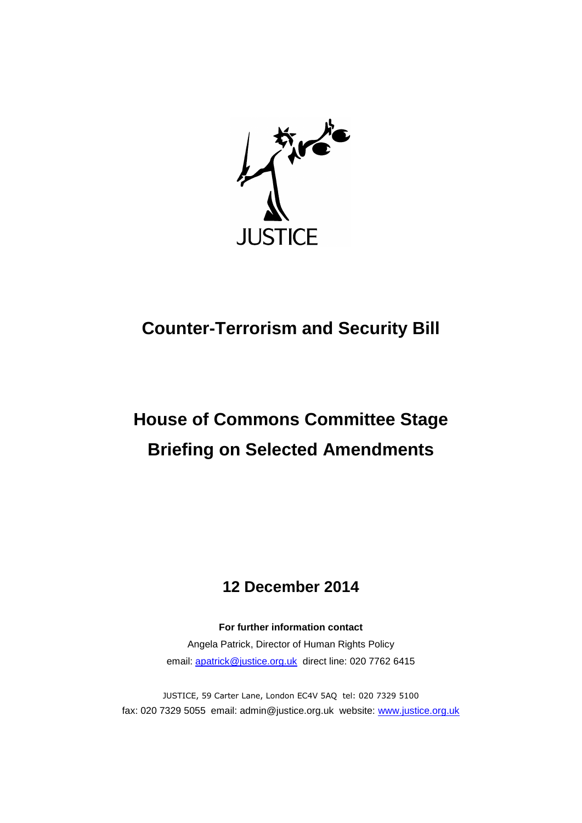

# **Counter-Terrorism and Security Bill**

# **House of Commons Committee Stage Briefing on Selected Amendments**

# **12 December 2014**

**For further information contact** Angela Patrick, Director of Human Rights Policy email: [apatrick@justice.org.uk](mailto:apatrick@justice.org.uk) direct line: 020 7762 6415

JUSTICE, 59 Carter Lane, London EC4V 5AQ tel: 020 7329 5100 fax: 020 7329 5055 email: admin@justice.org.uk website: [www.justice.org.uk](http://www.justice.org.uk/)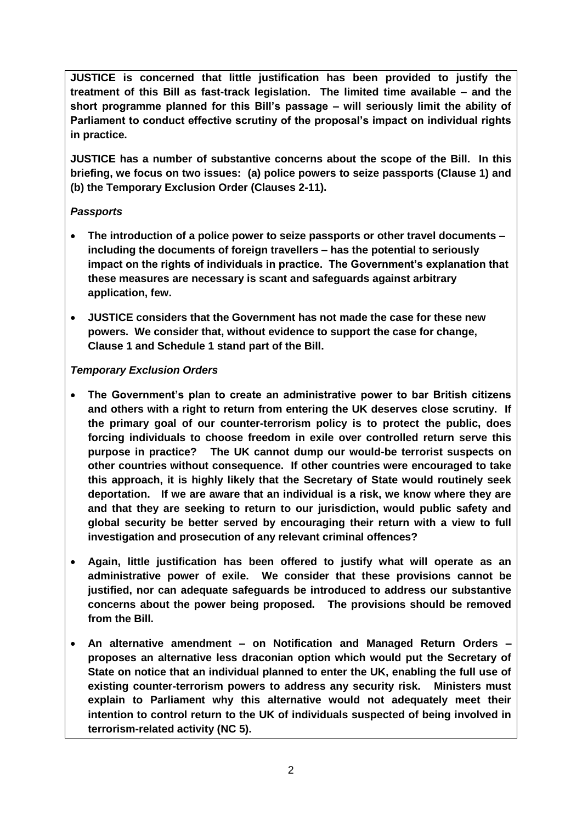**JUSTICE is concerned that little justification has been provided to justify the treatment of this Bill as fast-track legislation. The limited time available – and the short programme planned for this Bill's passage – will seriously limit the ability of Parliament to conduct effective scrutiny of the proposal's impact on individual rights in practice.** 

**JUSTICE has a number of substantive concerns about the scope of the Bill. In this briefing, we focus on two issues: (a) police powers to seize passports (Clause 1) and (b) the Temporary Exclusion Order (Clauses 2-11).**

# *Passports*

- **The introduction of a police power to seize passports or other travel documents – including the documents of foreign travellers – has the potential to seriously impact on the rights of individuals in practice. The Government's explanation that these measures are necessary is scant and safeguards against arbitrary application, few.**
- **JUSTICE considers that the Government has not made the case for these new powers. We consider that, without evidence to support the case for change, Clause 1 and Schedule 1 stand part of the Bill.**

# *Temporary Exclusion Orders*

- **The Government's plan to create an administrative power to bar British citizens and others with a right to return from entering the UK deserves close scrutiny. If the primary goal of our counter-terrorism policy is to protect the public, does forcing individuals to choose freedom in exile over controlled return serve this purpose in practice? The UK cannot dump our would-be terrorist suspects on other countries without consequence. If other countries were encouraged to take this approach, it is highly likely that the Secretary of State would routinely seek deportation. If we are aware that an individual is a risk, we know where they are and that they are seeking to return to our jurisdiction, would public safety and global security be better served by encouraging their return with a view to full investigation and prosecution of any relevant criminal offences?**
- **Again, little justification has been offered to justify what will operate as an administrative power of exile. We consider that these provisions cannot be justified, nor can adequate safeguards be introduced to address our substantive concerns about the power being proposed. The provisions should be removed from the Bill.**
- **An alternative amendment – on Notification and Managed Return Orders – proposes an alternative less draconian option which would put the Secretary of State on notice that an individual planned to enter the UK, enabling the full use of existing counter-terrorism powers to address any security risk. Ministers must explain to Parliament why this alternative would not adequately meet their intention to control return to the UK of individuals suspected of being involved in terrorism-related activity (NC 5).**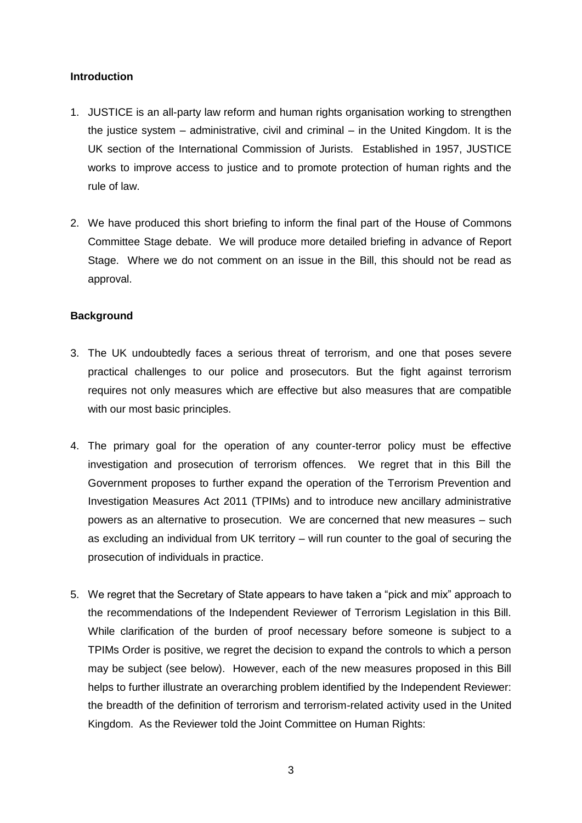## **Introduction**

- 1. JUSTICE is an all-party law reform and human rights organisation working to strengthen the justice system – administrative, civil and criminal – in the United Kingdom. It is the UK section of the International Commission of Jurists. Established in 1957, JUSTICE works to improve access to justice and to promote protection of human rights and the rule of law.
- 2. We have produced this short briefing to inform the final part of the House of Commons Committee Stage debate. We will produce more detailed briefing in advance of Report Stage. Where we do not comment on an issue in the Bill, this should not be read as approval.

# **Background**

- 3. The UK undoubtedly faces a serious threat of terrorism, and one that poses severe practical challenges to our police and prosecutors. But the fight against terrorism requires not only measures which are effective but also measures that are compatible with our most basic principles.
- 4. The primary goal for the operation of any counter-terror policy must be effective investigation and prosecution of terrorism offences. We regret that in this Bill the Government proposes to further expand the operation of the Terrorism Prevention and Investigation Measures Act 2011 (TPIMs) and to introduce new ancillary administrative powers as an alternative to prosecution. We are concerned that new measures – such as excluding an individual from UK territory – will run counter to the goal of securing the prosecution of individuals in practice.
- 5. We regret that the Secretary of State appears to have taken a "pick and mix" approach to the recommendations of the Independent Reviewer of Terrorism Legislation in this Bill. While clarification of the burden of proof necessary before someone is subject to a TPIMs Order is positive, we regret the decision to expand the controls to which a person may be subject (see below). However, each of the new measures proposed in this Bill helps to further illustrate an overarching problem identified by the Independent Reviewer: the breadth of the definition of terrorism and terrorism-related activity used in the United Kingdom. As the Reviewer told the Joint Committee on Human Rights: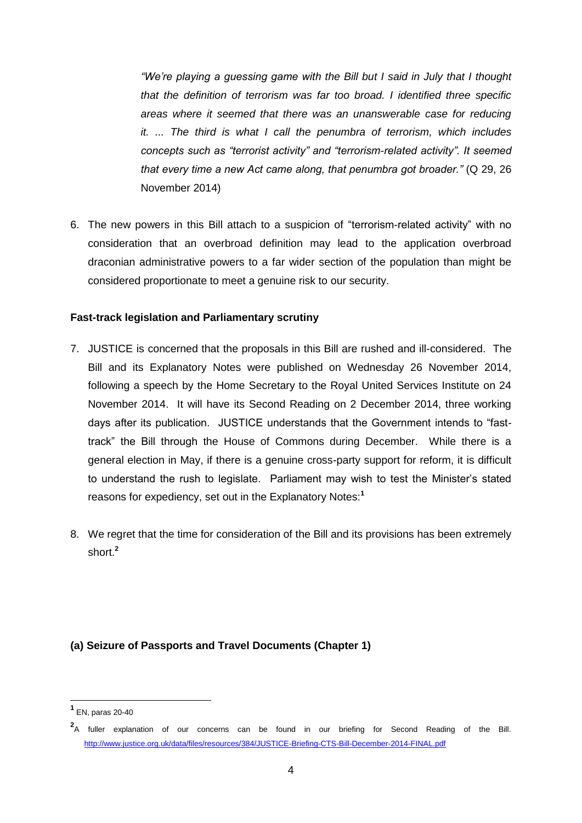*"We're playing a guessing game with the Bill but I said in July that I thought that the definition of terrorism was far too broad. I identified three specific areas where it seemed that there was an unanswerable case for reducing it. ... The third is what I call the penumbra of terrorism, which includes concepts such as "terrorist activity" and "terrorism-related activity". It seemed that every time a new Act came along, that penumbra got broader."* (Q 29, 26 November 2014)

6. The new powers in this Bill attach to a suspicion of "terrorism-related activity" with no consideration that an overbroad definition may lead to the application overbroad draconian administrative powers to a far wider section of the population than might be considered proportionate to meet a genuine risk to our security.

#### **Fast-track legislation and Parliamentary scrutiny**

- 7. JUSTICE is concerned that the proposals in this Bill are rushed and ill-considered. The Bill and its Explanatory Notes were published on Wednesday 26 November 2014, following a speech by the Home Secretary to the Royal United Services Institute on 24 November 2014. It will have its Second Reading on 2 December 2014, three working days after its publication. JUSTICE understands that the Government intends to "fasttrack" the Bill through the House of Commons during December. While there is a general election in May, if there is a genuine cross-party support for reform, it is difficult to understand the rush to legislate. Parliament may wish to test the Minister's stated reasons for expediency, set out in the Explanatory Notes:**<sup>1</sup>**
- 8. We regret that the time for consideration of the Bill and its provisions has been extremely short.**<sup>2</sup>**

# **(a) Seizure of Passports and Travel Documents (Chapter 1)**

**<sup>1</sup>** EN, paras 20-40

**<sup>2</sup>** A fuller explanation of our concerns can be found in our briefing for Second Reading of the Bill. <http://www.justice.org.uk/data/files/resources/384/JUSTICE-Briefing-CTS-Bill-December-2014-FINAL.pdf>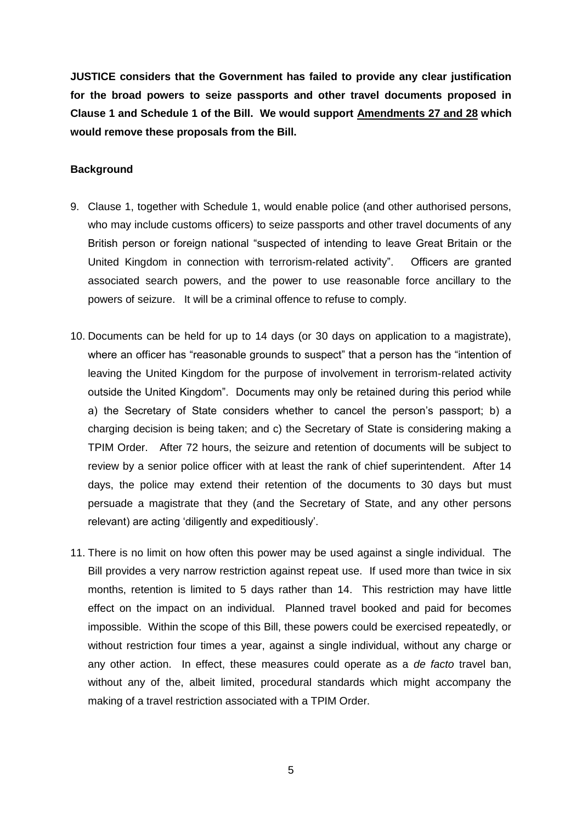**JUSTICE considers that the Government has failed to provide any clear justification for the broad powers to seize passports and other travel documents proposed in Clause 1 and Schedule 1 of the Bill. We would support Amendments 27 and 28 which would remove these proposals from the Bill.** 

#### **Background**

- 9. Clause 1, together with Schedule 1, would enable police (and other authorised persons, who may include customs officers) to seize passports and other travel documents of any British person or foreign national "suspected of intending to leave Great Britain or the United Kingdom in connection with terrorism-related activity". Officers are granted associated search powers, and the power to use reasonable force ancillary to the powers of seizure. It will be a criminal offence to refuse to comply.
- 10. Documents can be held for up to 14 days (or 30 days on application to a magistrate), where an officer has "reasonable grounds to suspect" that a person has the "intention of leaving the United Kingdom for the purpose of involvement in terrorism-related activity outside the United Kingdom". Documents may only be retained during this period while a) the Secretary of State considers whether to cancel the person's passport; b) a charging decision is being taken; and c) the Secretary of State is considering making a TPIM Order. After 72 hours, the seizure and retention of documents will be subject to review by a senior police officer with at least the rank of chief superintendent. After 14 days, the police may extend their retention of the documents to 30 days but must persuade a magistrate that they (and the Secretary of State, and any other persons relevant) are acting 'diligently and expeditiously'.
- 11. There is no limit on how often this power may be used against a single individual. The Bill provides a very narrow restriction against repeat use. If used more than twice in six months, retention is limited to 5 days rather than 14. This restriction may have little effect on the impact on an individual. Planned travel booked and paid for becomes impossible. Within the scope of this Bill, these powers could be exercised repeatedly, or without restriction four times a year, against a single individual, without any charge or any other action. In effect, these measures could operate as a *de facto* travel ban, without any of the, albeit limited, procedural standards which might accompany the making of a travel restriction associated with a TPIM Order.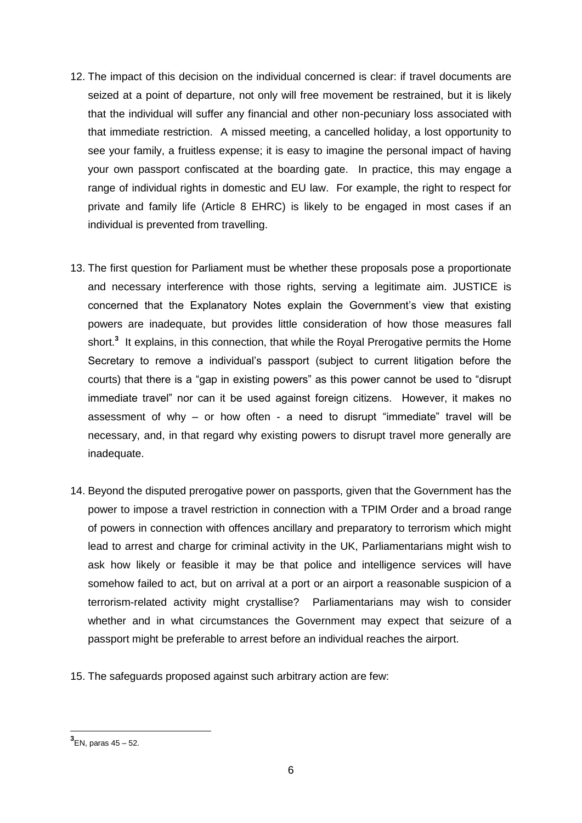- 12. The impact of this decision on the individual concerned is clear: if travel documents are seized at a point of departure, not only will free movement be restrained, but it is likely that the individual will suffer any financial and other non-pecuniary loss associated with that immediate restriction. A missed meeting, a cancelled holiday, a lost opportunity to see your family, a fruitless expense; it is easy to imagine the personal impact of having your own passport confiscated at the boarding gate. In practice, this may engage a range of individual rights in domestic and EU law. For example, the right to respect for private and family life (Article 8 EHRC) is likely to be engaged in most cases if an individual is prevented from travelling.
- 13. The first question for Parliament must be whether these proposals pose a proportionate and necessary interference with those rights, serving a legitimate aim. JUSTICE is concerned that the Explanatory Notes explain the Government's view that existing powers are inadequate, but provides little consideration of how those measures fall short.**<sup>3</sup>** It explains, in this connection, that while the Royal Prerogative permits the Home Secretary to remove a individual's passport (subject to current litigation before the courts) that there is a "gap in existing powers" as this power cannot be used to "disrupt immediate travel" nor can it be used against foreign citizens. However, it makes no assessment of why – or how often - a need to disrupt "immediate" travel will be necessary, and, in that regard why existing powers to disrupt travel more generally are inadequate.
- 14. Beyond the disputed prerogative power on passports, given that the Government has the power to impose a travel restriction in connection with a TPIM Order and a broad range of powers in connection with offences ancillary and preparatory to terrorism which might lead to arrest and charge for criminal activity in the UK, Parliamentarians might wish to ask how likely or feasible it may be that police and intelligence services will have somehow failed to act, but on arrival at a port or an airport a reasonable suspicion of a terrorism-related activity might crystallise? Parliamentarians may wish to consider whether and in what circumstances the Government may expect that seizure of a passport might be preferable to arrest before an individual reaches the airport.
- 15. The safeguards proposed against such arbitrary action are few:

**<sup>3</sup>** EN, paras 45 – 52.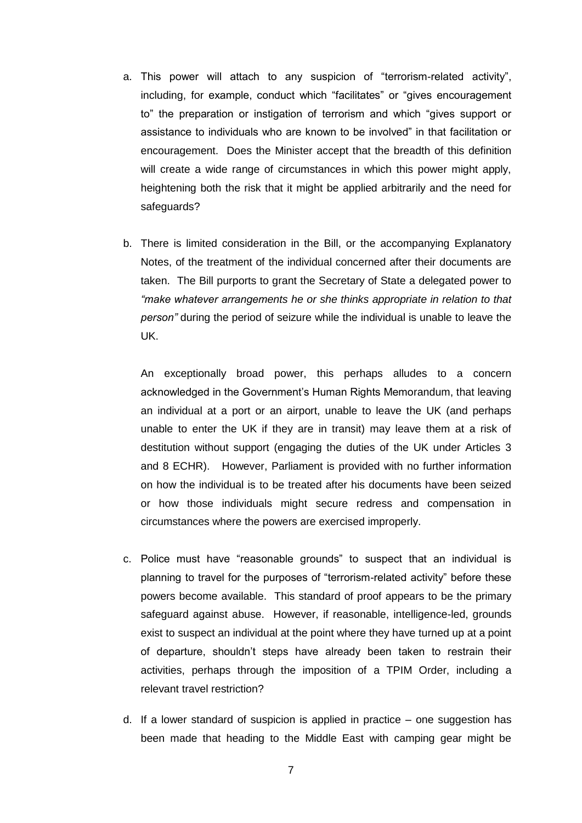- a. This power will attach to any suspicion of "terrorism-related activity", including, for example, conduct which "facilitates" or "gives encouragement to" the preparation or instigation of terrorism and which "gives support or assistance to individuals who are known to be involved" in that facilitation or encouragement. Does the Minister accept that the breadth of this definition will create a wide range of circumstances in which this power might apply, heightening both the risk that it might be applied arbitrarily and the need for safeguards?
- b. There is limited consideration in the Bill, or the accompanying Explanatory Notes, of the treatment of the individual concerned after their documents are taken. The Bill purports to grant the Secretary of State a delegated power to *"make whatever arrangements he or she thinks appropriate in relation to that person"* during the period of seizure while the individual is unable to leave the UK.

An exceptionally broad power, this perhaps alludes to a concern acknowledged in the Government's Human Rights Memorandum, that leaving an individual at a port or an airport, unable to leave the UK (and perhaps unable to enter the UK if they are in transit) may leave them at a risk of destitution without support (engaging the duties of the UK under Articles 3 and 8 ECHR). However, Parliament is provided with no further information on how the individual is to be treated after his documents have been seized or how those individuals might secure redress and compensation in circumstances where the powers are exercised improperly.

- c. Police must have "reasonable grounds" to suspect that an individual is planning to travel for the purposes of "terrorism-related activity" before these powers become available. This standard of proof appears to be the primary safeguard against abuse. However, if reasonable, intelligence-led, grounds exist to suspect an individual at the point where they have turned up at a point of departure, shouldn't steps have already been taken to restrain their activities, perhaps through the imposition of a TPIM Order, including a relevant travel restriction?
- d. If a lower standard of suspicion is applied in practice one suggestion has been made that heading to the Middle East with camping gear might be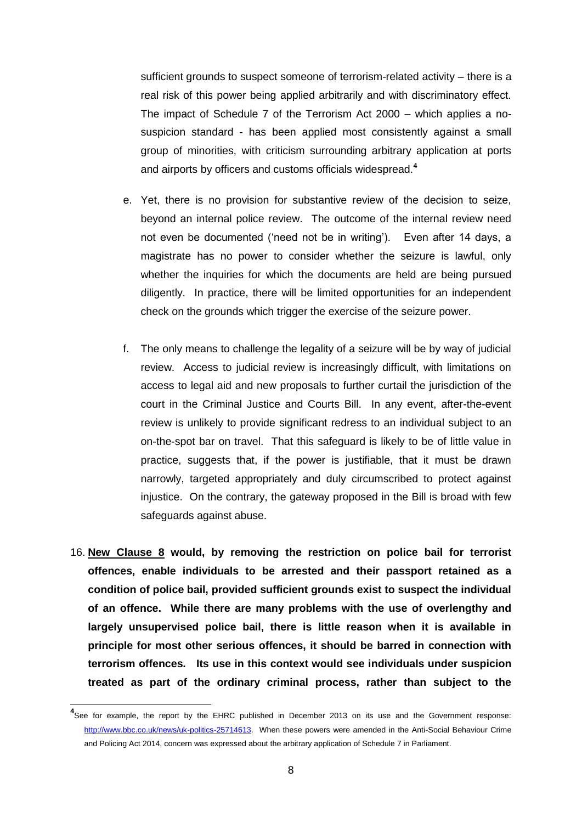sufficient grounds to suspect someone of terrorism-related activity – there is a real risk of this power being applied arbitrarily and with discriminatory effect. The impact of Schedule 7 of the Terrorism Act 2000 – which applies a nosuspicion standard - has been applied most consistently against a small group of minorities, with criticism surrounding arbitrary application at ports and airports by officers and customs officials widespread.**<sup>4</sup>**

- e. Yet, there is no provision for substantive review of the decision to seize, beyond an internal police review. The outcome of the internal review need not even be documented ('need not be in writing'). Even after 14 days, a magistrate has no power to consider whether the seizure is lawful, only whether the inquiries for which the documents are held are being pursued diligently. In practice, there will be limited opportunities for an independent check on the grounds which trigger the exercise of the seizure power.
- f. The only means to challenge the legality of a seizure will be by way of judicial review. Access to judicial review is increasingly difficult, with limitations on access to legal aid and new proposals to further curtail the jurisdiction of the court in the Criminal Justice and Courts Bill. In any event, after-the-event review is unlikely to provide significant redress to an individual subject to an on-the-spot bar on travel. That this safeguard is likely to be of little value in practice, suggests that, if the power is justifiable, that it must be drawn narrowly, targeted appropriately and duly circumscribed to protect against injustice. On the contrary, the gateway proposed in the Bill is broad with few safeguards against abuse.
- 16. **New Clause 8 would, by removing the restriction on police bail for terrorist offences, enable individuals to be arrested and their passport retained as a condition of police bail, provided sufficient grounds exist to suspect the individual of an offence. While there are many problems with the use of overlengthy and largely unsupervised police bail, there is little reason when it is available in principle for most other serious offences, it should be barred in connection with terrorism offences. Its use in this context would see individuals under suspicion treated as part of the ordinary criminal process, rather than subject to the**

**<sup>4</sup>** See for example, the report by the EHRC published in December 2013 on its use and the Government response: [http://www.bbc.co.uk/news/uk-politics-25714613.](http://www.bbc.co.uk/news/uk-politics-25714613) When these powers were amended in the Anti-Social Behaviour Crime and Policing Act 2014, concern was expressed about the arbitrary application of Schedule 7 in Parliament.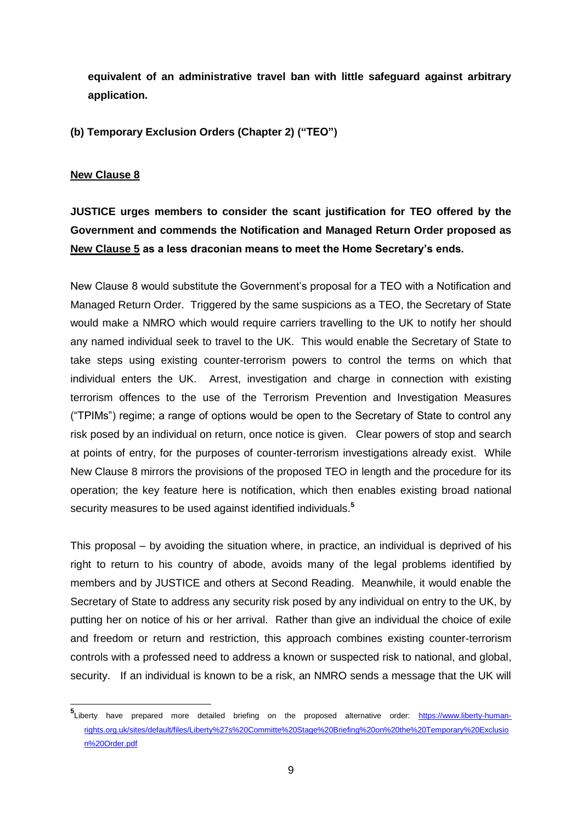**equivalent of an administrative travel ban with little safeguard against arbitrary application.** 

**(b) Temporary Exclusion Orders (Chapter 2) ("TEO")**

#### **New Clause 8**

-

**JUSTICE urges members to consider the scant justification for TEO offered by the Government and commends the Notification and Managed Return Order proposed as New Clause 5 as a less draconian means to meet the Home Secretary's ends.**

New Clause 8 would substitute the Government's proposal for a TEO with a Notification and Managed Return Order. Triggered by the same suspicions as a TEO, the Secretary of State would make a NMRO which would require carriers travelling to the UK to notify her should any named individual seek to travel to the UK. This would enable the Secretary of State to take steps using existing counter-terrorism powers to control the terms on which that individual enters the UK. Arrest, investigation and charge in connection with existing terrorism offences to the use of the Terrorism Prevention and Investigation Measures ("TPIMs") regime; a range of options would be open to the Secretary of State to control any risk posed by an individual on return, once notice is given. Clear powers of stop and search at points of entry, for the purposes of counter-terrorism investigations already exist. While New Clause 8 mirrors the provisions of the proposed TEO in length and the procedure for its operation; the key feature here is notification, which then enables existing broad national security measures to be used against identified individuals.**<sup>5</sup>**

This proposal – by avoiding the situation where, in practice, an individual is deprived of his right to return to his country of abode, avoids many of the legal problems identified by members and by JUSTICE and others at Second Reading. Meanwhile, it would enable the Secretary of State to address any security risk posed by any individual on entry to the UK, by putting her on notice of his or her arrival. Rather than give an individual the choice of exile and freedom or return and restriction, this approach combines existing counter-terrorism controls with a professed need to address a known or suspected risk to national, and global, security. If an individual is known to be a risk, an NMRO sends a message that the UK will

<sup>5&</sup>lt;br>
Liberty have prepared more detailed briefing on the proposed alternative order: [https://www.liberty-human](https://www.liberty-human-rights.org.uk/sites/default/files/Liberty%27s%20Committe%20Stage%20Briefing%20on%20the%20Temporary%20Exclusion%20Order.pdf)[rights.org.uk/sites/default/files/Liberty%27s%20Committe%20Stage%20Briefing%20on%20the%20Temporary%20Exclusio](https://www.liberty-human-rights.org.uk/sites/default/files/Liberty%27s%20Committe%20Stage%20Briefing%20on%20the%20Temporary%20Exclusion%20Order.pdf) [n%20Order.pdf](https://www.liberty-human-rights.org.uk/sites/default/files/Liberty%27s%20Committe%20Stage%20Briefing%20on%20the%20Temporary%20Exclusion%20Order.pdf)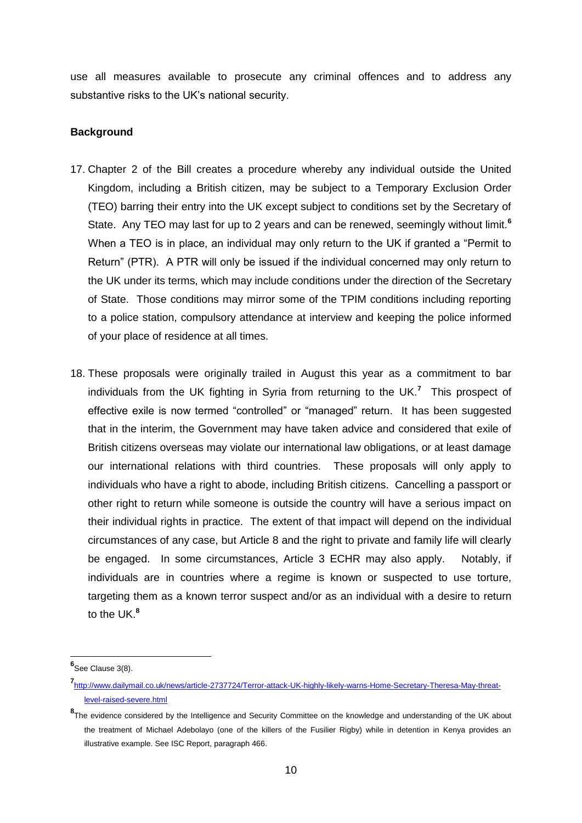use all measures available to prosecute any criminal offences and to address any substantive risks to the UK's national security.

#### **Background**

- 17. Chapter 2 of the Bill creates a procedure whereby any individual outside the United Kingdom, including a British citizen, may be subject to a Temporary Exclusion Order (TEO) barring their entry into the UK except subject to conditions set by the Secretary of State. Any TEO may last for up to 2 years and can be renewed, seemingly without limit.**<sup>6</sup>** When a TEO is in place, an individual may only return to the UK if granted a "Permit to Return" (PTR). A PTR will only be issued if the individual concerned may only return to the UK under its terms, which may include conditions under the direction of the Secretary of State. Those conditions may mirror some of the TPIM conditions including reporting to a police station, compulsory attendance at interview and keeping the police informed of your place of residence at all times.
- 18. These proposals were originally trailed in August this year as a commitment to bar individuals from the UK fighting in Syria from returning to the UK.**<sup>7</sup>** This prospect of effective exile is now termed "controlled" or "managed" return. It has been suggested that in the interim, the Government may have taken advice and considered that exile of British citizens overseas may violate our international law obligations, or at least damage our international relations with third countries. These proposals will only apply to individuals who have a right to abode, including British citizens. Cancelling a passport or other right to return while someone is outside the country will have a serious impact on their individual rights in practice. The extent of that impact will depend on the individual circumstances of any case, but Article 8 and the right to private and family life will clearly be engaged. In some circumstances, Article 3 ECHR may also apply. Notably, if individuals are in countries where a regime is known or suspected to use torture, targeting them as a known terror suspect and/or as an individual with a desire to return to the UK.**<sup>8</sup>**

**<sup>6</sup>** See Clause 3(8).

**<sup>7</sup>** [http://www.dailymail.co.uk/news/article-2737724/Terror-attack-UK-highly-likely-warns-Home-Secretary-Theresa-May-threat](http://www.dailymail.co.uk/news/article-2737724/Terror-attack-UK-highly-likely-warns-Home-Secretary-Theresa-May-threat-level-raised-severe.html)[level-raised-severe.html](http://www.dailymail.co.uk/news/article-2737724/Terror-attack-UK-highly-likely-warns-Home-Secretary-Theresa-May-threat-level-raised-severe.html)

**<sup>8</sup>** The evidence considered by the Intelligence and Security Committee on the knowledge and understanding of the UK about the treatment of Michael Adebolayo (one of the killers of the Fusilier Rigby) while in detention in Kenya provides an illustrative example. See ISC Report, paragraph 466.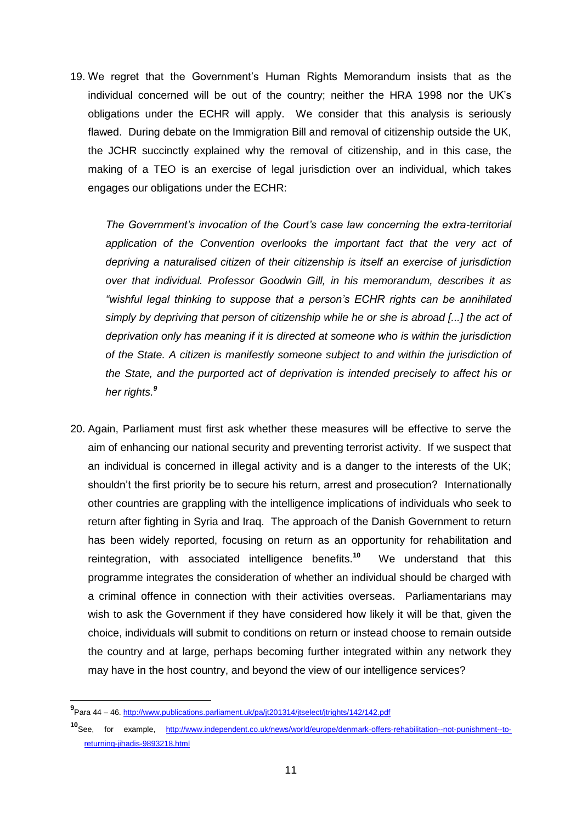19. We regret that the Government's Human Rights Memorandum insists that as the individual concerned will be out of the country; neither the HRA 1998 nor the UK's obligations under the ECHR will apply. We consider that this analysis is seriously flawed. During debate on the Immigration Bill and removal of citizenship outside the UK, the JCHR succinctly explained why the removal of citizenship, and in this case, the making of a TEO is an exercise of legal jurisdiction over an individual, which takes engages our obligations under the ECHR:

*The Government's invocation of the Court's case law concerning the extra-territorial*  application of the Convention overlooks the important fact that the very act of *depriving a naturalised citizen of their citizenship is itself an exercise of jurisdiction over that individual. Professor Goodwin Gill, in his memorandum, describes it as "wishful legal thinking to suppose that a person's ECHR rights can be annihilated simply by depriving that person of citizenship while he or she is abroad [...] the act of deprivation only has meaning if it is directed at someone who is within the jurisdiction of the State. A citizen is manifestly someone subject to and within the jurisdiction of the State, and the purported act of deprivation is intended precisely to affect his or her rights.<sup>9</sup>*

20. Again, Parliament must first ask whether these measures will be effective to serve the aim of enhancing our national security and preventing terrorist activity. If we suspect that an individual is concerned in illegal activity and is a danger to the interests of the UK; shouldn't the first priority be to secure his return, arrest and prosecution? Internationally other countries are grappling with the intelligence implications of individuals who seek to return after fighting in Syria and Iraq. The approach of the Danish Government to return has been widely reported, focusing on return as an opportunity for rehabilitation and reintegration, with associated intelligence benefits.**<sup>10</sup>** We understand that this programme integrates the consideration of whether an individual should be charged with a criminal offence in connection with their activities overseas. Parliamentarians may wish to ask the Government if they have considered how likely it will be that, given the choice, individuals will submit to conditions on return or instead choose to remain outside the country and at large, perhaps becoming further integrated within any network they may have in the host country, and beyond the view of our intelligence services?

**<sup>9</sup>** Para 44 – 46.<http://www.publications.parliament.uk/pa/jt201314/jtselect/jtrights/142/142.pdf>

**<sup>10</sup>**See, for example, [http://www.independent.co.uk/news/world/europe/denmark-offers-rehabilitation--not-punishment--to](http://www.independent.co.uk/news/world/europe/denmark-offers-rehabilitation--not-punishment--to-returning-jihadis-9893218.html)[returning-jihadis-9893218.html](http://www.independent.co.uk/news/world/europe/denmark-offers-rehabilitation--not-punishment--to-returning-jihadis-9893218.html)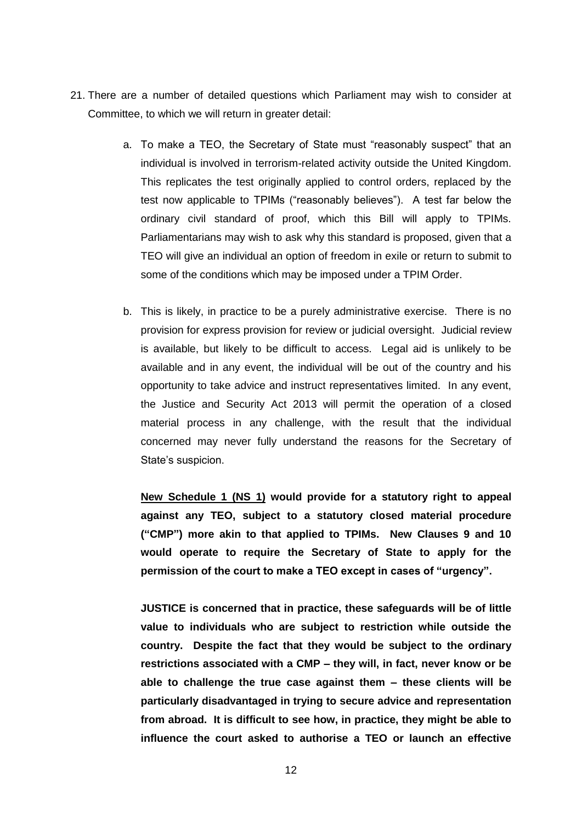- 21. There are a number of detailed questions which Parliament may wish to consider at Committee, to which we will return in greater detail:
	- a. To make a TEO, the Secretary of State must "reasonably suspect" that an individual is involved in terrorism-related activity outside the United Kingdom. This replicates the test originally applied to control orders, replaced by the test now applicable to TPIMs ("reasonably believes"). A test far below the ordinary civil standard of proof, which this Bill will apply to TPIMs. Parliamentarians may wish to ask why this standard is proposed, given that a TEO will give an individual an option of freedom in exile or return to submit to some of the conditions which may be imposed under a TPIM Order.
	- b. This is likely, in practice to be a purely administrative exercise. There is no provision for express provision for review or judicial oversight. Judicial review is available, but likely to be difficult to access. Legal aid is unlikely to be available and in any event, the individual will be out of the country and his opportunity to take advice and instruct representatives limited. In any event, the Justice and Security Act 2013 will permit the operation of a closed material process in any challenge, with the result that the individual concerned may never fully understand the reasons for the Secretary of State's suspicion.

**New Schedule 1 (NS 1) would provide for a statutory right to appeal against any TEO, subject to a statutory closed material procedure ("CMP") more akin to that applied to TPIMs. New Clauses 9 and 10 would operate to require the Secretary of State to apply for the permission of the court to make a TEO except in cases of "urgency".**

**JUSTICE is concerned that in practice, these safeguards will be of little value to individuals who are subject to restriction while outside the country. Despite the fact that they would be subject to the ordinary restrictions associated with a CMP – they will, in fact, never know or be able to challenge the true case against them – these clients will be particularly disadvantaged in trying to secure advice and representation from abroad. It is difficult to see how, in practice, they might be able to influence the court asked to authorise a TEO or launch an effective**